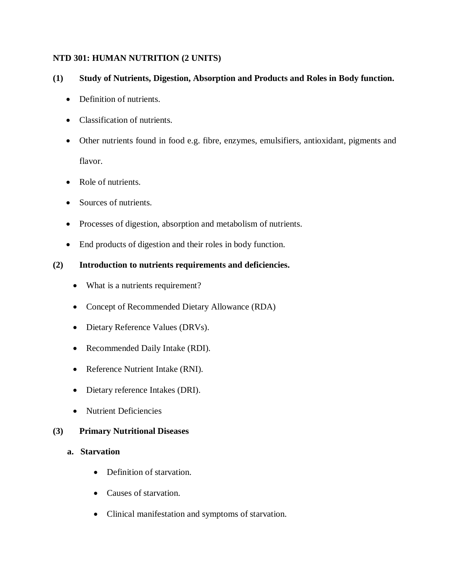#### **NTD 301: HUMAN NUTRITION (2 UNITS)**

#### **(1) Study of Nutrients, Digestion, Absorption and Products and Roles in Body function.**

- Definition of nutrients.
- Classification of nutrients.
- Other nutrients found in food e.g. fibre, enzymes, emulsifiers, antioxidant, pigments and flavor.
- Role of nutrients.
- Sources of nutrients.
- Processes of digestion, absorption and metabolism of nutrients.
- End products of digestion and their roles in body function.

## **(2) Introduction to nutrients requirements and deficiencies.**

- What is a nutrients requirement?
- Concept of Recommended Dietary Allowance (RDA)
- Dietary Reference Values (DRVs).
- Recommended Daily Intake (RDI).
- Reference Nutrient Intake (RNI).
- Dietary reference Intakes (DRI).
- Nutrient Deficiencies

## **(3) Primary Nutritional Diseases**

- **a. Starvation** 
	- Definition of starvation.
	- Causes of starvation.
	- Clinical manifestation and symptoms of starvation.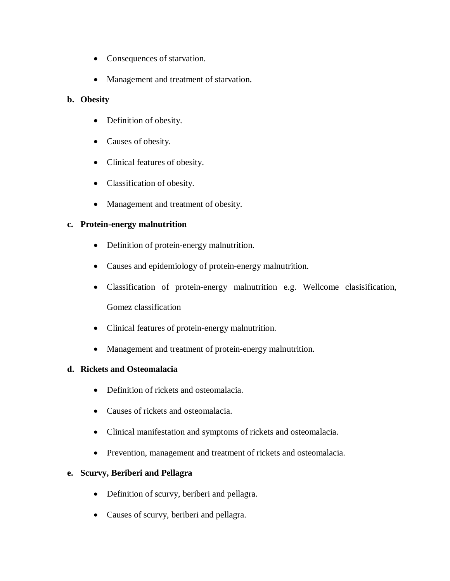- Consequences of starvation.
- Management and treatment of starvation.

# **b. Obesity**

- Definition of obesity.
- Causes of obesity.
- Clinical features of obesity.
- Classification of obesity.
- Management and treatment of obesity.

# **c. Protein-energy malnutrition**

- Definition of protein-energy malnutrition.
- Causes and epidemiology of protein-energy malnutrition.
- Classification of protein-energy malnutrition e.g. Wellcome clasisification, Gomez classification
- Clinical features of protein-energy malnutrition.
- Management and treatment of protein-energy malnutrition.

## **d. Rickets and Osteomalacia**

- Definition of rickets and osteomalacia.
- Causes of rickets and osteomalacia.
- Clinical manifestation and symptoms of rickets and osteomalacia.
- Prevention, management and treatment of rickets and osteomalacia.

## **e. Scurvy, Beriberi and Pellagra**

- Definition of scurvy, beriberi and pellagra.
- Causes of scurvy, beriberi and pellagra.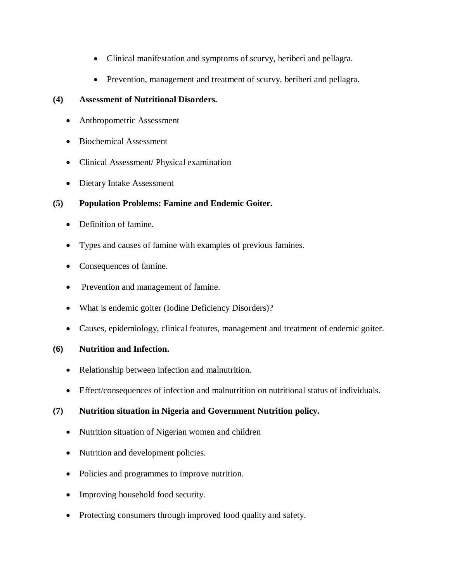- Clinical manifestation and symptoms of scurvy, beriberi and pellagra.
- Prevention, management and treatment of scurvy, beriberi and pellagra.

# **(4) Assessment of Nutritional Disorders.**

- Anthropometric Assessment
- Biochemical Assessment
- Clinical Assessment/ Physical examination
- Dietary Intake Assessment

# **(5) Population Problems: Famine and Endemic Goiter.**

- Definition of famine.
- Types and causes of famine with examples of previous famines.
- Consequences of famine.
- Prevention and management of famine.
- What is endemic goiter (Iodine Deficiency Disorders)?
- Causes, epidemiology, clinical features, management and treatment of endemic goiter.

## **(6) Nutrition and Infection.**

- Relationship between infection and malnutrition.
- Effect/consequences of infection and malnutrition on nutritional status of individuals.

# **(7) Nutrition situation in Nigeria and Government Nutrition policy.**

- Nutrition situation of Nigerian women and children
- Nutrition and development policies.
- Policies and programmes to improve nutrition.
- Improving household food security.
- Protecting consumers through improved food quality and safety.